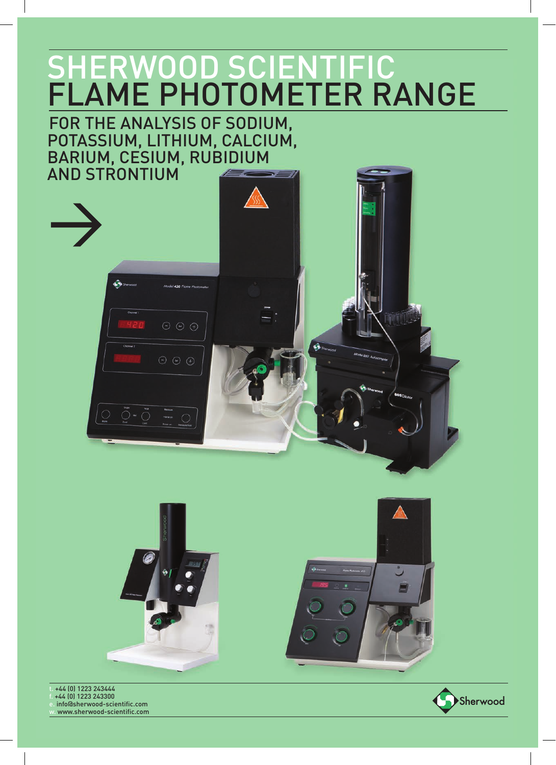## FOR THE ANALYSIS OF SODIUM, POTASSIUM, LITHIUM, CALCIUM, BARIUM, CESIUM, RUBIDIUM AND STRONTIUM





t. +44 (0) 1223 243444 f. +44 (0) 1223 243300 info@sherwood-scientific.com www.sherwood-scientific.com

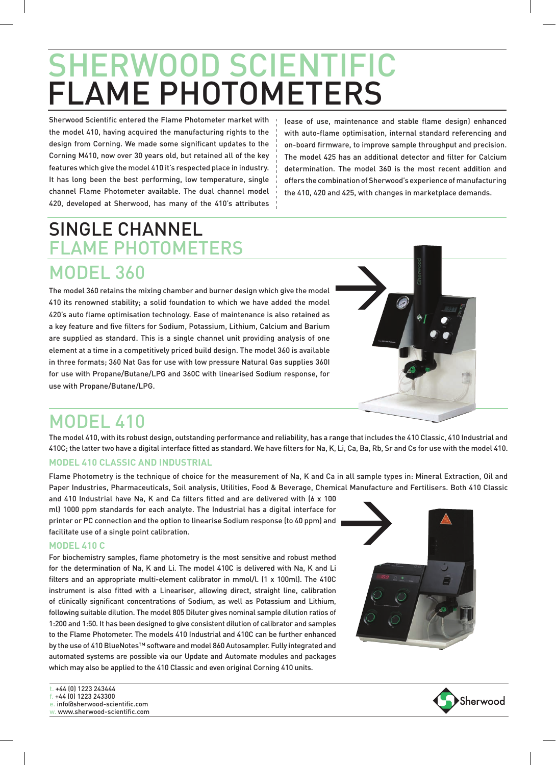Sherwood Scientific entered the Flame Photometer market with the model 410, having acquired the manufacturing rights to the design from Corning. We made some significant updates to the Corning M410, now over 30 years old, but retained all of the key features which give the model 410 it's respected place in industry. It has long been the best performing, low temperature, single channel Flame Photometer available. The dual channel model 420, developed at Sherwood, has many of the 410's attributes

(ease of use, maintenance and stable flame design) enhanced with auto-flame optimisation, internal standard referencing and on-board firmware, to improve sample throughput and precision. The model 425 has an additional detector and filter for Calcium determination. The model 360 is the most recent addition and offers the combination of Sherwood's experience of manufacturing the 410, 420 and 425, with changes in marketplace demands.

## SINGLE CHANNEL FLAME PHOTOMETERS

MODEL 360 The model 360 retains the mixing chamber and burner design which give the model 410 its renowned stability; a solid foundation to which we have added the model 420's auto flame optimisation technology. Ease of maintenance is also retained as a key feature and five filters for Sodium, Potassium, Lithium, Calcium and Barium are supplied as standard. This is a single channel unit providing analysis of one

element at a time in a competitively priced build design. The model 360 is available in three formats; 360 Nat Gas for use with low pressure Natural Gas supplies 360I for use with Propane/Butane/LPG and 360C with linearised Sodium response, for use with Propane/Butane/LPG.



## MODEL 410

The model 410, with its robust design, outstanding performance and reliability, has a range that includes the 410 Classic, 410 Industrial and 410C; the latter two have a digital interface fitted as standard. We have filters for Na, K, Li, Ca, Ba, Rb, Sr and Cs for use with the model 410.

#### **MODEL 410 CLASSIC AND INDUSTRIAL**

Flame Photometry is the technique of choice for the measurement of Na, K and Ca in all sample types in: Mineral Extraction, Oil and Paper Industries, Pharmaceuticals, Soil analysis, Utilities, Food & Beverage, Chemical Manufacture and Fertilisers. Both 410 Classic

and 410 Industrial have Na, K and Ca filters fitted and are delivered with (6 x 100 ml) 1000 ppm standards for each analyte. The Industrial has a digital interface for printer or PC connection and the option to linearise Sodium response (to 40 ppm) and facilitate use of a single point calibration.

#### **MODEL 410 C**

For biochemistry samples, flame photometry is the most sensitive and robust method for the determination of Na, K and Li. The model 410C is delivered with Na, K and Li filters and an appropriate multi-element calibrator in mmol/l. (1 x 100ml). The 410C instrument is also fitted with a Lineariser, allowing direct, straight line, calibration of clinically significant concentrations of Sodium, as well as Potassium and Lithium, following suitable dilution. The model 805 Diluter gives nominal sample dilution ratios of 1:200 and 1:50. It has been designed to give consistent dilution of calibrator and samples to the Flame Photometer. The models 410 Industrial and 410C can be further enhanced by the use of 410 BlueNotes™ software and model 860 Autosampler. Fully integrated and automated systems are possible via our Update and Automate modules and packages which may also be applied to the 410 Classic and even original Corning 410 units.





+44 (0) 1223 243444 f. +44 (0) 1223 243300 e. info@sherwood-scientific.com w. www.sherwood-scientific.com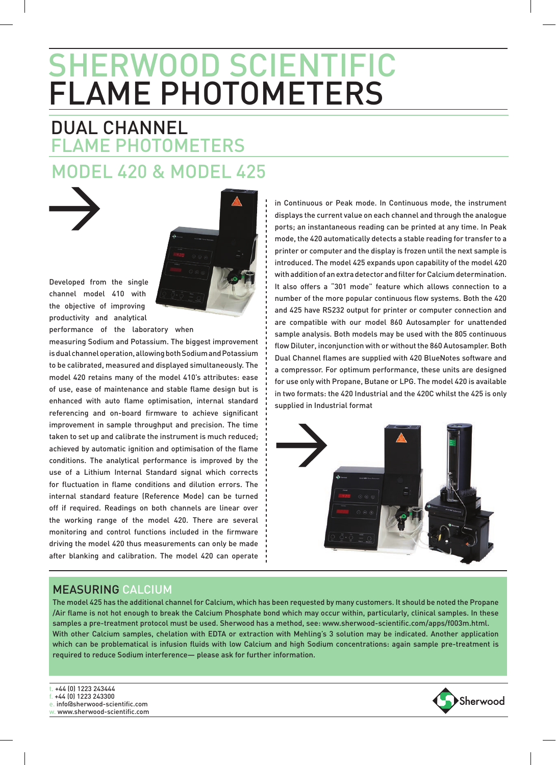## FLAME PHOTOMETERS DUAL CHANNEL MODEL 420 & MODEL 425





Developed from the single channel model 410 with the objective of improving productivity and analytical performance of the laboratory when

measuring Sodium and Potassium. The biggest improvement is dual channel operation, allowing both Sodium and Potassium to be calibrated, measured and displayed simultaneously. The model 420 retains many of the model 410's attributes: ease of use, ease of maintenance and stable flame design but is enhanced with auto flame optimisation, internal standard referencing and on-board firmware to achieve significant improvement in sample throughput and precision. The time taken to set up and calibrate the instrument is much reduced; achieved by automatic ignition and optimisation of the flame conditions. The analytical performance is improved by the use of a Lithium Internal Standard signal which corrects for fluctuation in flame conditions and dilution errors. The internal standard feature (Reference Mode) can be turned off if required. Readings on both channels are linear over the working range of the model 420. There are several monitoring and control functions included in the firmware driving the model 420 thus measurements can only be made after blanking and calibration. The model 420 can operate in Continuous or Peak mode. In Continuous mode, the instrument displays the current value on each channel and through the analogue ports; an instantaneous reading can be printed at any time. In Peak mode, the 420 automatically detects a stable reading for transfer to a printer or computer and the display is frozen until the next sample is introduced. The model 425 expands upon capability of the model 420 with addition of an extra detector and filter for Calcium determination. It also offers a "301 mode" feature which allows connection to a number of the more popular continuous flow systems. Both the 420 and 425 have RS232 output for printer or computer connection and are compatible with our model 860 Autosampler for unattended sample analysis. Both models may be used with the 805 continuous flow Diluter, inconjunction with or without the 860 Autosampler. Both Dual Channel flames are supplied with 420 BlueNotes software and a compressor. For optimum performance, these units are designed for use only with Propane, Butane or LPG. The model 420 is available in two formats: the 420 Industrial and the 420C whilst the 425 is only supplied in Industrial format



### MEASURING CALCIUM

The model 425 has the additional channel for Calcium, which has been requested by many customers. It should be noted the Propane /Air flame is not hot enough to break the Calcium Phosphate bond which may occur within, particularly, clinical samples. In these samples a pre-treatment protocol must be used. Sherwood has a method, see: www.sherwood-scientific.com/apps/f003m.html. With other Calcium samples, chelation with EDTA or extraction with Mehling's 3 solution may be indicated. Another application which can be problematical is infusion fluids with low Calcium and high Sodium concentrations: again sample pre-treatment is required to reduce Sodium interference— please ask for further information.

t. +44 (0) 1223 243444

- f. +44 (0) 1223 243300
- e. info@sherwood-scientific.com



w. www.sherwood-scientific.com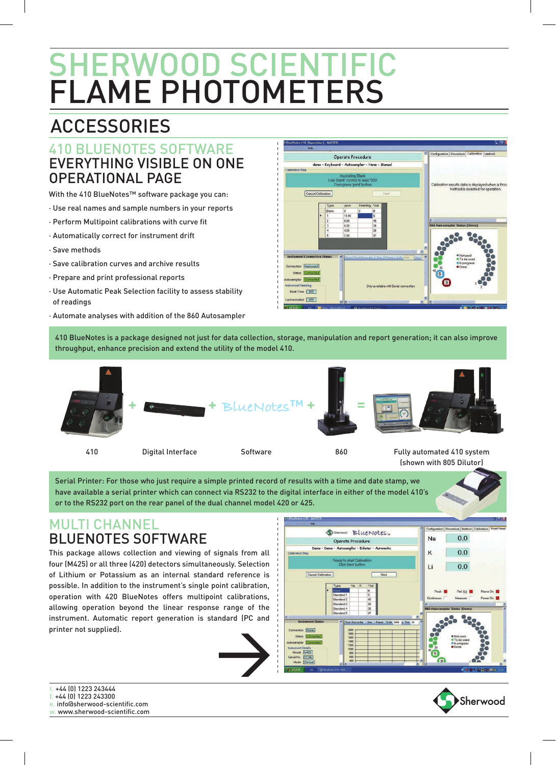## ACCESSORIES

## 410 BLUENOTES SOFTWARE EVERYTHING VISIBLE ON ONE OPERATIONAL PAGE

With the 410 BlueNotes™ software package you can:

- · Use real names and sample numbers in your reports
- · Perform Multipoint calibrations with curve fit
- · Automatically correct for instrument drift
- · Save methods
- · Save calibration curves and archive results
- · Prepare and print professional reports
- · Use Automatic Peak Selection facility to assess stability of readings
- · Automate analyses with addition of the 860 Autosampler



410 BlueNotes is a package designed not just for data collection, storage, manipulation and report generation; it can also improve throughput, enhance precision and extend the utility of the model 410.



Serial Printer: For those who just require a simple printed record of results with a time and date stamp, we have available a serial printer which can connect via RS232 to the digital interface in either of the model 410's or to the RS232 port on the rear panel of the dual channel model 420 or 425.

## MULTI CHANNEL BLUENOTES SOFTWARE

This package allows collection and viewing of signals from all four (M425) or all three (420) detectors simultaneously. Selection of Lithium or Potassium as an internal standard reference is possible. In addition to the instrument's single point calibration, operation with 420 BlueNotes offers multipoint calibrations, allowing operation beyond the linear response range of the instrument. Automatic report generation is standard (PC and printer not supplied).







t. +44 (0) 1223 243444 f. +44 (0) 1223 243300 e. info@sherwood-scientific.com w. www.sherwood-scientific.com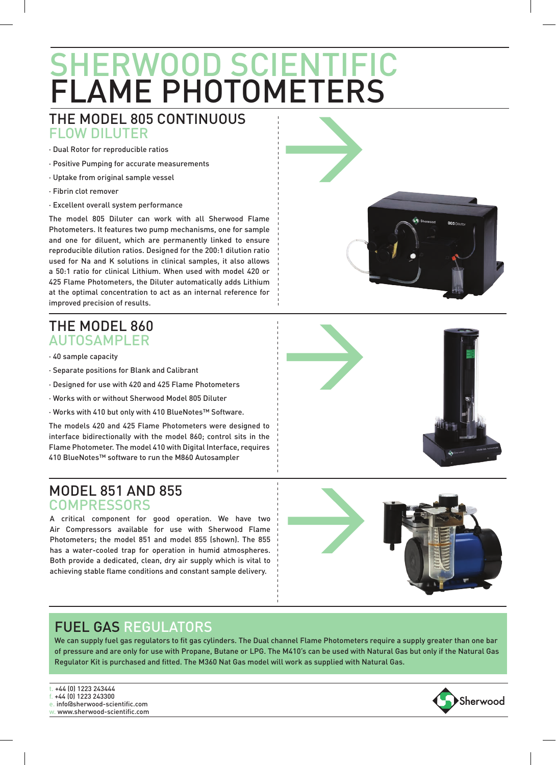## FLAME PHOTOMETERS SHERWOOD SCIENTIFIC

## THE MODEL 805 CONTINUOUS FLOW DILUTER

- · Dual Rotor for reproducible ratios
- · Positive Pumping for accurate measurements
- · Uptake from original sample vessel
- · Fibrin clot remover
- · Excellent overall system performance

The model 805 Diluter can work with all Sherwood Flame Photometers. It features two pump mechanisms, one for sample and one for diluent, which are permanently linked to ensure reproducible dilution ratios. Designed for the 200:1 dilution ratio used for Na and K solutions in clinical samples, it also allows a 50:1 ratio for clinical Lithium. When used with model 420 or 425 Flame Photometers, the Diluter automatically adds Lithium at the optimal concentration to act as an internal reference for improved precision of results.

## THE MODEL 860 AUTOSAMPLER

- · 40 sample capacity
- · Separate positions for Blank and Calibrant
- · Designed for use with 420 and 425 Flame Photometers
- · Works with or without Sherwood Model 805 Diluter
- · Works with 410 but only with 410 BlueNotes™ Software.

The models 420 and 425 Flame Photometers were designed to interface bidirectionally with the model 860; control sits in the Flame Photometer. The model 410 with Digital Interface, requires 410 BlueNotes™ software to run the M860 Autosampler

## MODEL 851 AND 855 **COMPRESSORS**

A critical component for good operation. We have two Air Compressors available for use with Sherwood Flame Photometers; the model 851 and model 855 (shown). The 855 has a water-cooled trap for operation in humid atmospheres. Both provide a dedicated, clean, dry air supply which is vital to achieving stable flame conditions and constant sample delivery.



## FUEL GAS REGULATORS

We can supply fuel gas regulators to fit gas cylinders. The Dual channel Flame Photometers require a supply greater than one bar of pressure and are only for use with Propane, Butane or LPG. The M410's can be used with Natural Gas but only if the Natural Gas Regulator Kit is purchased and fitted. The M360 Nat Gas model will work as supplied with Natural Gas.

- t. +44 (0) 1223 243444
- f. +44 (0) 1223 243300
- e. info@sherwood-scientific.com
- w. www.sherwood-scientific.com





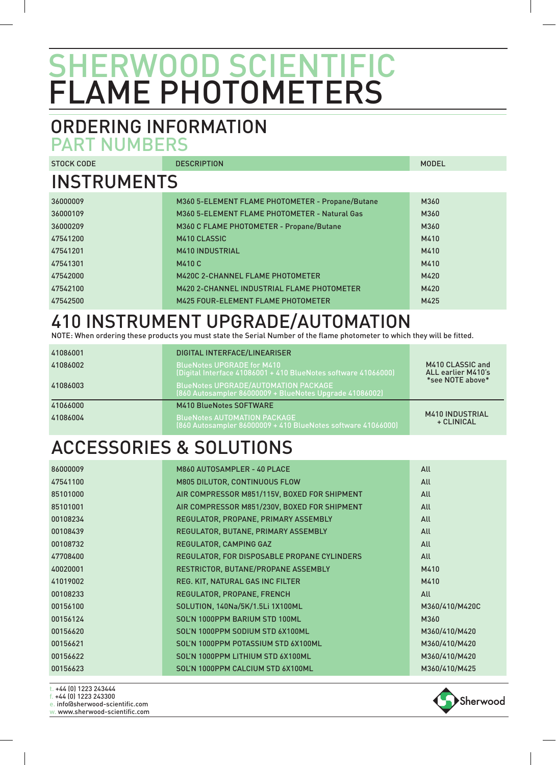## ORDERING INFORMATION PART NUMBERS

STOCK CODE DESCRIPTION INSTRUMENTS 36000009 M360 5-ELEMENT FLAME PHOTOMETER - Propane/Butane M360 36000109 M360 5-ELEMENT FLAME PHOTOMETER - Natural Gas M360 36000209 M360 C FLAME PHOTOMETER - Propane/Butane M360 47541200 M410 CLASSIC M410 47541201 M410 INDUSTRIAL M410 47541301 M410 C M410 47542000 M420C 2-CHANNEL FLAME PHOTOMETER M420 47542100 M420 2-CHANNEL INDUSTRIAL FLAME PHOTOMETER M420 A 47542500 M425 FOUR-ELEMENT FLAME PHOTOMETER MODEL

## 410 INSTRUMENT UPGRADE/AUTOMATION

NOTE: When ordering these products you must state the Serial Number of the flame photometer to which they will be fitted.

| 41086001 | DIGITAL INTERFACE/LINEARISER                                                                           |                                        |
|----------|--------------------------------------------------------------------------------------------------------|----------------------------------------|
| 41086002 | <b>BlueNotes UPGRADE for M410</b><br>(Digital Interface 41086001 + 410 BlueNotes software 41066000)    | M410 CLASSIC and<br>ALL earlier M410's |
| 41086003 | <b>BlueNotes UPGRADE/AUTOMATION PACKAGE</b><br>(860 Autosampler 86000009 + BlueNotes Upgrade 41086002) | *see NOTE above*                       |
| 41066000 | <b>M410 BlueNotes SOFTWARE</b>                                                                         |                                        |
| 41086004 | <b>BlueNotes AUTOMATION PACKAGE</b><br>(860 Autosampler 86000009 + 410 BlueNotes software 41066000)    | <b>M410 INDUSTRIAL</b><br>+ CLINICAL   |

## ACCESSORIES & SOLUTIONS

| 86000009 | M860 AUTOSAMPLER - 40 PLACE                  | All            |
|----------|----------------------------------------------|----------------|
| 47541100 | <b>M805 DILUTOR, CONTINUOUS FLOW</b>         | All            |
| 85101000 | AIR COMPRESSOR M851/115V, BOXED FOR SHIPMENT | All            |
| 85101001 | AIR COMPRESSOR M851/230V, BOXED FOR SHIPMENT | All            |
| 00108234 | REGULATOR, PROPANE, PRIMARY ASSEMBLY         | All            |
| 00108439 | REGULATOR, BUTANE, PRIMARY ASSEMBLY          | All            |
| 00108732 | REGULATOR, CAMPING GAZ                       | All            |
| 47708400 | REGULATOR, FOR DISPOSABLE PROPANE CYLINDERS  | All            |
| 40020001 | RESTRICTOR, BUTANE/PROPANE ASSEMBLY          | M410           |
| 41019002 | REG. KIT, NATURAL GAS INC FILTER             | M410           |
| 00108233 | REGULATOR, PROPANE, FRENCH                   | All            |
| 00156100 | SOLUTION, 140Na/5K/1.5Li 1X100ML             | M360/410/M420C |
| 00156124 | SOL'N 1000PPM BARIUM STD 100ML               | M360           |
| 00156620 | SOL'N 1000PPM SODIUM STD 6X100ML             | M360/410/M420  |
| 00156621 | SOL'N 1000PPM POTASSIUM STD 6X100ML          | M360/410/M420  |
| 00156622 | SOL'N 1000PPM LITHIUM STD 6X100ML            | M360/410/M420  |
| 00156623 | SOL'N 1000PPM CALCIUM STD 6X100ML            | M360/410/M425  |
|          |                                              |                |

t. +44 (0) 1223 243444

f. +44 (0) 1223 243300

e. info@sherwood-scientific.com

w. www.sherwood-scientific.com

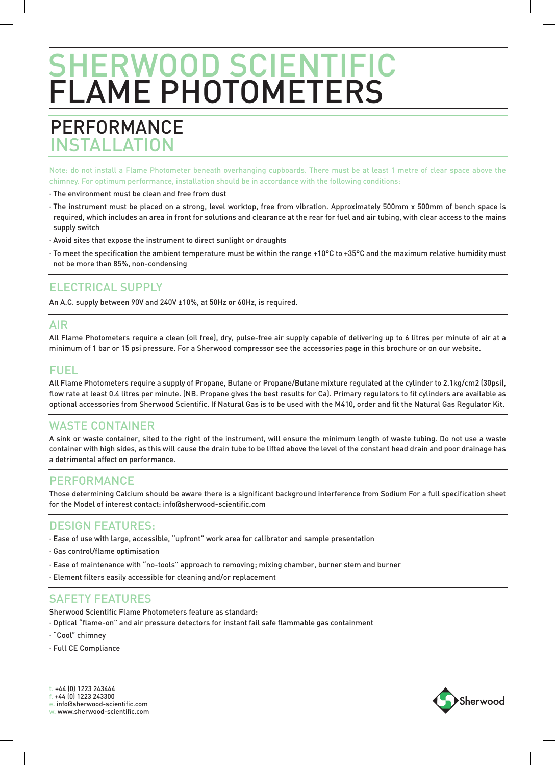## PERFORMANCE INSTAL LATION

Note: do not install a Flame Photometer beneath overhanging cupboards. There must be at least 1 metre of clear space above the chimney. For optimum performance, installation should be in accordance with the following conditions:

- · The environment must be clean and free from dust
- · The instrument must be placed on a strong, level worktop, free from vibration. Approximately 500mm x 500mm of bench space is required, which includes an area in front for solutions and clearance at the rear for fuel and air tubing, with clear access to the mains supply switch
- · Avoid sites that expose the instrument to direct sunlight or draughts
- · To meet the specification the ambient temperature must be within the range +10°C to +35°C and the maximum relative humidity must not be more than 85%, non-condensing

### ELECTRICAL SUPPLY

An A.C. supply between 90V and 240V ±10%, at 50Hz or 60Hz, is required.

### AIR

All Flame Photometers require a clean (oil free), dry, pulse-free air supply capable of delivering up to 6 litres per minute of air at a minimum of 1 bar or 15 psi pressure. For a Sherwood compressor see the accessories page in this brochure or on our website.

## FUEL

All Flame Photometers require a supply of Propane, Butane or Propane/Butane mixture regulated at the cylinder to 2.1kg/cm2 (30psi), flow rate at least 0.4 litres per minute. (NB. Propane gives the best results for Ca). Primary regulators to fit cylinders are available as optional accessories from Sherwood Scientific. If Natural Gas is to be used with the M410, order and fit the Natural Gas Regulator Kit.

### WASTE CONTAINER

A sink or waste container, sited to the right of the instrument, will ensure the minimum length of waste tubing. Do not use a waste container with high sides, as this will cause the drain tube to be lifted above the level of the constant head drain and poor drainage has a detrimental affect on performance.

### PERFORMANCE

Those determining Calcium should be aware there is a significant background interference from Sodium For a full specification sheet for the Model of interest contact: info@sherwood-scientific.com

Sherwood

### DESIGN FEATURES:

- · Ease of use with large, accessible, "upfront" work area for calibrator and sample presentation
- · Gas control/flame optimisation
- · Ease of maintenance with "no-tools" approach to removing; mixing chamber, burner stem and burner
- · Element filters easily accessible for cleaning and/or replacement

### SAFETY FEATURES

Sherwood Scientific Flame Photometers feature as standard:

- · Optical "flame-on" and air pressure detectors for instant fail safe flammable gas containment
- · "Cool" chimney
- · Full CE Compliance



f. +44 (0) 1223 243300

e. info@sherwood-scientific.com